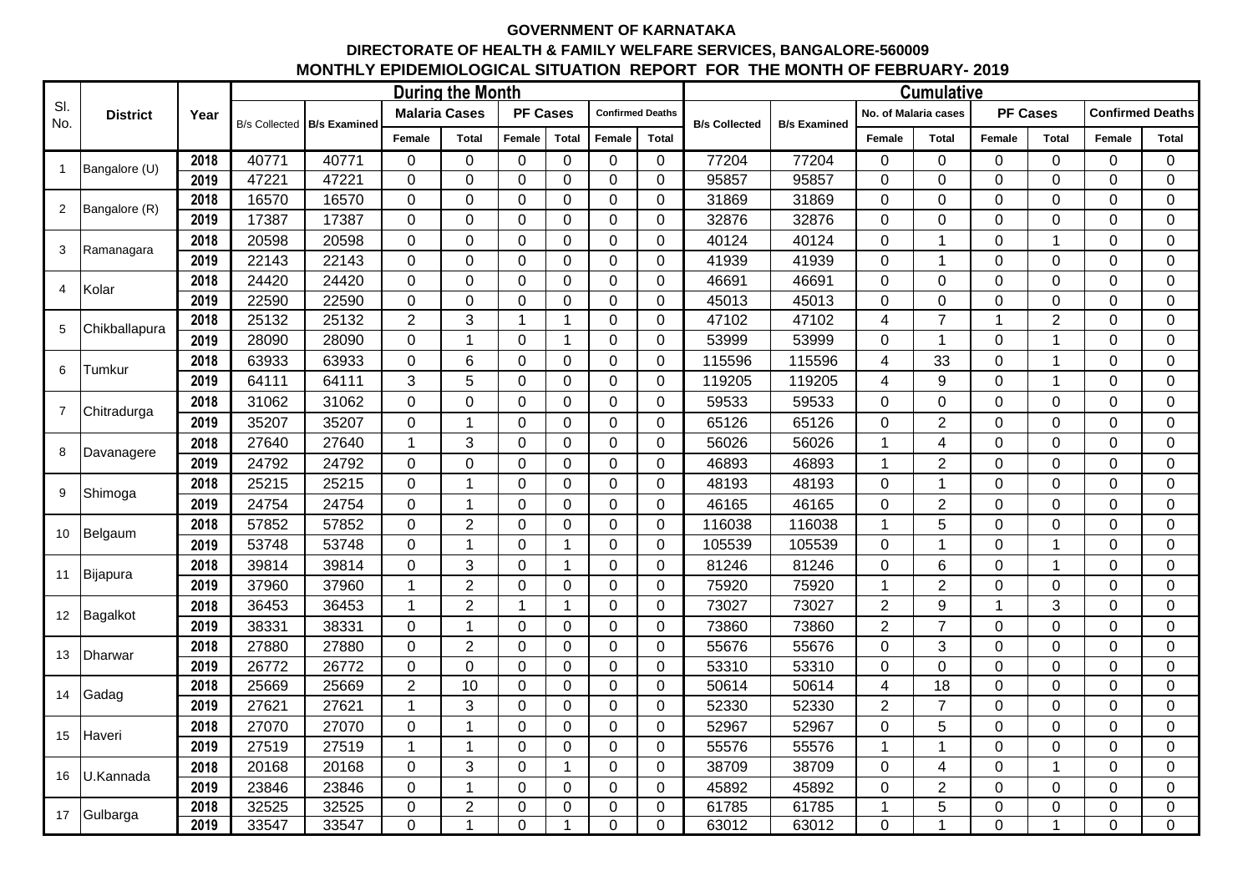## **GOVERNMENT OF KARNATAKA DIRECTORATE OF HEALTH & FAMILY WELFARE SERVICES, BANGALORE-560009 MONTHLY EPIDEMIOLOGICAL SITUATION REPORT FOR THE MONTH OF FEBRUARY- 2019**

| SI.<br>No.     | <b>District</b> | Year | <b>During the Month</b> |                     |                      |                |                 |                |                         |                |                      | <b>Cumulative</b>   |                      |                |                 |                |                         |                |  |
|----------------|-----------------|------|-------------------------|---------------------|----------------------|----------------|-----------------|----------------|-------------------------|----------------|----------------------|---------------------|----------------------|----------------|-----------------|----------------|-------------------------|----------------|--|
|                |                 |      | <b>B/s Collected</b>    | <b>B/s Examined</b> | <b>Malaria Cases</b> |                | <b>PF Cases</b> |                | <b>Confirmed Deaths</b> |                | <b>B/s Collected</b> | <b>B/s Examined</b> | No. of Malaria cases |                | <b>PF Cases</b> |                | <b>Confirmed Deaths</b> |                |  |
|                |                 |      |                         |                     | Female               | <b>Total</b>   | Female          | <b>Total</b>   | Female                  | <b>Total</b>   |                      |                     | Female               | <b>Total</b>   | Female          | <b>Total</b>   | Female                  | <b>Total</b>   |  |
| $\mathbf{1}$   | Bangalore (U)   | 2018 | 40771                   | 40771               | $\mathbf 0$          | $\mathbf 0$    | $\mathbf 0$     | $\overline{0}$ | $\mathbf 0$             | $\mathbf 0$    | 77204                | 77204               | $\mathbf 0$          | 0              | $\Omega$        | $\mathbf 0$    | 0                       | $\mathbf 0$    |  |
|                |                 | 2019 | 47221                   | 47221               | $\mathbf 0$          | $\overline{0}$ | 0               | $\overline{0}$ | $\mathbf 0$             | $\overline{0}$ | 95857                | 95857               | $\mathbf 0$          | 0              | $\overline{0}$  | $\Omega$       | 0                       | $\mathbf{0}$   |  |
| $\overline{2}$ | Bangalore (R)   | 2018 | 16570                   | 16570               | $\Omega$             | $\overline{0}$ | 0               | $\mathbf 0$    | $\mathbf 0$             | $\mathbf 0$    | 31869                | 31869               | $\mathbf 0$          | 0              | $\overline{0}$  | $\Omega$       | 0                       | $\mathbf 0$    |  |
|                |                 | 2019 | 17387                   | 17387               | $\mathbf{0}$         | $\mathbf 0$    | $\mathbf{0}$    | $\mathbf 0$    | $\mathbf 0$             | $\mathbf 0$    | 32876                | 32876               | $\boldsymbol{0}$     | 0              | $\overline{0}$  | $\overline{0}$ | $\Omega$                | $\mathbf{0}$   |  |
| 3              | Ramanagara      | 2018 | 20598                   | 20598               | $\mathbf 0$          | $\overline{0}$ | $\mathbf 0$     | $\mathbf 0$    | $\mathbf 0$             | $\overline{0}$ | 40124                | 40124               | $\mathbf 0$          | 1              | $\overline{0}$  | $\mathbf{1}$   | 0                       | $\mathbf 0$    |  |
|                |                 | 2019 | 22143                   | 22143               | $\Omega$             | $\overline{0}$ | 0               | 0              | $\mathbf 0$             | $\mathbf 0$    | 41939                | 41939               | $\mathbf 0$          | 1              | $\mathbf 0$     | $\Omega$       | 0                       | $\mathbf 0$    |  |
| $\overline{4}$ | Kolar           | 2018 | 24420                   | 24420               | $\mathbf 0$          | $\overline{0}$ | $\overline{0}$  | $\mathbf 0$    | $\mathbf 0$             | $\overline{0}$ | 46691                | 46691               | $\boldsymbol{0}$     | 0              | $\overline{0}$  | $\Omega$       | 0                       | $\mathbf{0}$   |  |
|                |                 | 2019 | 22590                   | 22590               | $\Omega$             | $\Omega$       | 0               | $\Omega$       | $\Omega$                | $\Omega$       | 45013                | 45013               | $\mathbf 0$          | 0              | $\Omega$        | $\Omega$       | 0                       | $\mathbf 0$    |  |
| 5              | Chikballapura   | 2018 | 25132                   | 25132               | $\overline{2}$       | 3              | $\mathbf{1}$    |                | $\mathbf 0$             | $\overline{0}$ | 47102                | 47102               | 4                    | $\overline{7}$ | 1               | $\overline{2}$ | 0                       | $\mathbf 0$    |  |
|                |                 | 2019 | 28090                   | 28090               | $\Omega$             | 1              | $\mathbf 0$     | -1             | $\mathbf 0$             | $\overline{0}$ | 53999                | 53999               | 0                    | 1              | $\mathbf 0$     | 1              | 0                       | $\mathbf 0$    |  |
| 6              | Tumkur          | 2018 | 63933                   | 63933               | $\mathbf 0$          | 6              | $\mathbf{0}$    | $\overline{0}$ | $\Omega$                | $\overline{0}$ | 115596               | 115596              | $\overline{4}$       | 33             | $\overline{0}$  | 1              | $\Omega$                | $\mathbf{0}$   |  |
|                |                 | 2019 | 64111                   | 64111               | 3                    | 5              | $\mathbf 0$     | 0              | $\mathbf 0$             | $\mathbf 0$    | 119205               | 119205              | 4                    | 9              | $\mathbf 0$     | 1              | 0                       | $\mathbf 0$    |  |
| $\overline{7}$ | Chitradurga     | 2018 | 31062                   | 31062               | $\Omega$             | $\overline{0}$ | 0               | 0              | $\mathbf 0$             | $\mathbf 0$    | 59533                | 59533               | $\mathbf 0$          | 0              | $\overline{0}$  | $\overline{0}$ | 0                       | $\mathbf 0$    |  |
|                |                 | 2019 | 35207                   | 35207               | $\mathbf{0}$         | $\mathbf 1$    | $\overline{0}$  | $\mathbf 0$    | $\mathbf 0$             | $\mathbf 0$    | 65126                | 65126               | $\boldsymbol{0}$     | $\overline{2}$ | $\overline{0}$  | $\overline{0}$ | 0                       | $\mathbf 0$    |  |
| 8              | Davanagere      | 2018 | 27640                   | 27640               | -1                   | 3              | 0               | 0              | $\mathbf 0$             | $\mathbf 0$    | 56026                | 56026               | $\mathbf{1}$         | 4              | $\mathbf 0$     | $\overline{0}$ | 0                       | $\mathbf 0$    |  |
|                |                 | 2019 | 24792                   | 24792               | 0                    | $\overline{0}$ | 0               | $\mathbf 0$    | $\mathbf 0$             | $\mathbf 0$    | 46893                | 46893               | 1                    | $\overline{2}$ | $\overline{0}$  | $\overline{0}$ | 0                       | $\mathbf 0$    |  |
|                | Shimoga         | 2018 | 25215                   | 25215               | $\mathbf{0}$         | 1              | 0               | $\Omega$       | $\mathbf 0$             | $\mathbf 0$    | 48193                | 48193               | $\pmb{0}$            | 1              | $\overline{0}$  | $\Omega$       | 0                       | $\mathbf 0$    |  |
| 9              |                 | 2019 | 24754                   | 24754               | $\mathbf 0$          | $\mathbf{1}$   | $\mathbf 0$     | 0              | $\mathbf 0$             | $\mathbf 0$    | 46165                | 46165               | $\mathbf 0$          | $\overline{2}$ | $\overline{0}$  | $\mathbf 0$    | 0                       | $\mathbf{0}$   |  |
| 10             | Belgaum         | 2018 | 57852                   | 57852               | $\Omega$             | $\overline{2}$ | 0               | $\Omega$       | $\Omega$                | $\Omega$       | 116038               | 116038              | 1                    | 5              | 0               | $\Omega$       | 0                       | $\mathbf{0}$   |  |
|                |                 | 2019 | 53748                   | 53748               | $\Omega$             | 1              | 0               |                | $\overline{0}$          | $\mathbf 0$    | 105539               | 105539              | 0                    | 1              | $\overline{0}$  | 1              | 0                       | $\Omega$       |  |
|                | 11 Bijapura     | 2018 | 39814                   | 39814               | 0                    | 3              | 0               |                | $\mathbf 0$             | $\mathbf 0$    | 81246                | 81246               | $\boldsymbol{0}$     | 6              | $\mathbf 0$     | 1              | 0                       | $\mathbf 0$    |  |
|                |                 | 2019 | 37960                   | 37960               | 1                    | $\overline{2}$ | 0               | $\Omega$       | $\Omega$                | $\Omega$       | 75920                | 75920               | 1                    | $\overline{2}$ | $\mathbf 0$     | $\Omega$       | 0                       | $\mathbf{0}$   |  |
|                | 12 Bagalkot     | 2018 | 36453                   | 36453               |                      | $\overline{2}$ | $\mathbf{1}$    |                | $\mathbf 0$             | $\mathbf 0$    | 73027                | 73027               | $\overline{2}$       | 9              |                 | 3              | 0                       | $\mathbf 0$    |  |
|                |                 | 2019 | 38331                   | 38331               | 0                    | $\mathbf{1}$   | $\mathbf 0$     | 0              | $\Omega$                | $\mathbf 0$    | 73860                | 73860               | $\overline{2}$       | $\overline{7}$ | $\mathbf 0$     | $\Omega$       | 0                       | $\mathbf 0$    |  |
| 13             | <b>Dharwar</b>  | 2018 | 27880                   | 27880               | $\overline{0}$       | $\overline{2}$ | $\overline{0}$  | $\mathbf 0$    | $\mathbf 0$             | $\mathbf 0$    | 55676                | 55676               | $\mathbf 0$          | 3              | $\overline{0}$  | $\overline{0}$ | 0                       | $\mathbf 0$    |  |
|                |                 | 2019 | 26772                   | 26772               | $\mathbf 0$          | $\overline{0}$ | 0               | $\mathbf 0$    | $\mathbf 0$             | $\mathbf 0$    | 53310                | 53310               | $\mathbf 0$          | 0              | $\overline{0}$  | $\overline{0}$ | 0                       | $\mathbf{0}$   |  |
| 14             | Gadag           | 2018 | 25669                   | 25669               | $\overline{2}$       | 10             | 0               | $\mathbf 0$    | $\mathbf 0$             | $\mathbf 0$    | 50614                | 50614               | 4                    | 18             | $\Omega$        | $\mathbf 0$    | 0                       | $\mathbf 0$    |  |
|                |                 | 2019 | 27621                   | 27621               | $\overline{1}$       | 3              | 0               | $\mathbf 0$    | $\mathbf 0$             | $\mathbf 0$    | 52330                | 52330               | $\overline{2}$       | $\overline{7}$ | $\mathbf 0$     | $\mathbf 0$    | 0                       | $\mathbf 0$    |  |
| 15             | Haveri          | 2018 | 27070                   | 27070               | 0                    | 1              | 0               | 0              | $\mathbf{0}$            | $\overline{0}$ | 52967                | 52967               | $\mathbf 0$          | 5              | 0               | $\Omega$       | 0                       | $\mathbf 0$    |  |
|                |                 | 2019 | 27519                   | 27519               | 1                    | 1              | 0               | $\mathbf 0$    | $\mathbf 0$             | $\mathbf 0$    | 55576                | 55576               | $\mathbf{1}$         | 1              | $\overline{0}$  | $\mathbf 0$    | 0                       | $\mathbf 0$    |  |
| 16             | U.Kannada       | 2018 | 20168                   | 20168               | $\mathbf 0$          | 3              | 0               |                | $\mathbf 0$             | $\mathbf 0$    | 38709                | 38709               | $\pmb{0}$            | 4              | $\mathbf 0$     | 1              | 0                       | $\mathbf 0$    |  |
|                |                 | 2019 | 23846                   | 23846               | 0                    | $\mathbf{1}$   | 0               | 0              | $\mathbf 0$             | $\mathbf 0$    | 45892                | 45892               | $\mathbf 0$          | $\overline{2}$ | $\mathbf 0$     | $\mathbf 0$    | 0                       | $\mathbf 0$    |  |
|                | 17 Gulbarga     | 2018 | 32525                   | 32525               | 0                    | $\overline{2}$ | 0               | $\overline{0}$ | $\mathbf{0}$            | $\Omega$       | 61785                | 61785               | $\mathbf{1}$         | 5              | $\mathbf 0$     | $\overline{0}$ | 0                       | $\pmb{0}$      |  |
|                |                 | 2019 | 33547                   | 33547               | $\overline{0}$       | 1              | $\overline{0}$  |                | $\overline{0}$          | $\overline{0}$ | 63012                | 63012               | $\overline{0}$       | 1              | $\overline{0}$  | 1              | $\overline{0}$          | $\overline{0}$ |  |